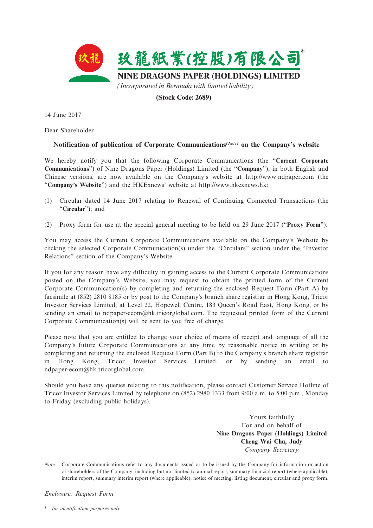

# **(Stock Code: 2689)**

14 June 2017

Dear Shareholder

# **Notification of publication of Corporate Communications***(Note)* **on the Company's website**

We hereby notify you that the following Corporate Communications (the "**Current Corporate Communications**") of Nine Dragons Paper (Holdings) Limited (the "**Company**"), in both English and Chinese versions, are now available on the Company's website at http://www.ndpaper.com (the "**Company's Website**") and the HKExnews' website at http://www.hkexnews.hk:

- (1) Circular dated 14 June 2017 relating to Renewal of Continuing Connected Transactions (the "**Circular**"); and
- (2) Proxy form for use at the special general meeting to be held on 29 June 2017 ("**Proxy Form**").

You may access the Current Corporate Communications available on the Company's Website by clicking the selected Corporate Communication(s) under the "Circulars" section under the "Investor Relations" section of the Company's Website.

If you for any reason have any difficulty in gaining access to the Current Corporate Communications posted on the Company's Website, you may request to obtain the printed form of the Current Corporate Communication(s) by completing and returning the enclosed Request Form (Part A) by facsimile at (852) 2810 8185 or by post to the Company's branch share registrar in Hong Kong, Tricor Investor Services Limited, at Level 22, Hopewell Centre, 183 Queen's Road East, Hong Kong, or by sending an email to ndpaper-ecom@hk.tricorglobal.com. The requested printed form of the Current Corporate Communication(s) will be sent to you free of charge.

Please note that you are entitled to change your choice of means of receipt and language of all the Company's future Corporate Communications at any time by reasonable notice in writing or by completing and returning the enclosed Request Form (Part B) to the Company's branch share registrar in Hong Kong, Tricor Investor Services Limited, or by sending an email to ndpaper-ecom@hk.tricorglobal.com.

Should you have any queries relating to this notification, please contact Customer Service Hotline of Tricor Investor Services Limited by telephone on (852) 2980 1333 from 9:00 a.m. to 5:00 p.m., Monday to Friday (excluding public holidays).

> Yours faithfully For and on behalf of **Nine Dragons Paper (Holdings) Limited Cheng Wai Chu, Judy** *Company Secretary*

*Note:* Corporate Communications refer to any documents issued or to be issued by the Company for information or action of shareholders of the Company, including but not limited to annual report, summary financial report (where applicable), interim report, summary interim report (where applicable), notice of meeting, listing document, circular and proxy form.

*Enclosure: Request Form*

\* *for identification purposes only*